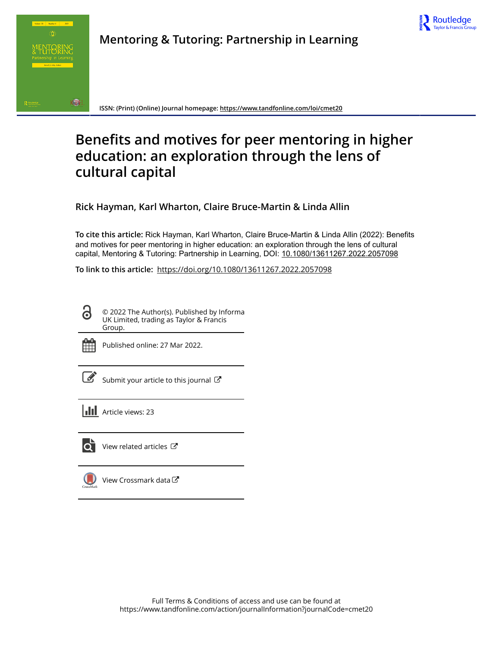



**Mentoring & Tutoring: Partnership in Learning**

**ISSN: (Print) (Online) Journal homepage:<https://www.tandfonline.com/loi/cmet20>**

# **Benefits and motives for peer mentoring in higher education: an exploration through the lens of cultural capital**

**Rick Hayman, Karl Wharton, Claire Bruce-Martin & Linda Allin**

**To cite this article:** Rick Hayman, Karl Wharton, Claire Bruce-Martin & Linda Allin (2022): Benefits and motives for peer mentoring in higher education: an exploration through the lens of cultural capital, Mentoring & Tutoring: Partnership in Learning, DOI: [10.1080/13611267.2022.2057098](https://www.tandfonline.com/action/showCitFormats?doi=10.1080/13611267.2022.2057098)

**To link to this article:** <https://doi.org/10.1080/13611267.2022.2057098>

© 2022 The Author(s). Published by Informa UK Limited, trading as Taylor & Francis Group.



 $\bullet$ 

Published online: 27 Mar 2022.

[Submit your article to this journal](https://www.tandfonline.com/action/authorSubmission?journalCode=cmet20&show=instructions)  $\mathbb{Z}$ 

**III** Article views: 23



 $\bullet$  [View related articles](https://www.tandfonline.com/doi/mlt/10.1080/13611267.2022.2057098)  $\circ$ 

[View Crossmark data](http://crossmark.crossref.org/dialog/?doi=10.1080/13611267.2022.2057098&domain=pdf&date_stamp=2022-03-27) $\mathbb{Z}$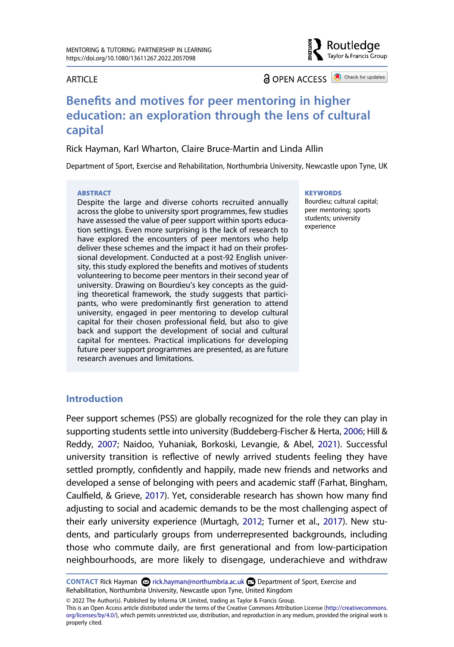#### **ARTICLE**

**a** OPEN ACCESS **a** Check for updates

Routledge Taylor & Francis Group

## **Benefits and motives for peer mentoring in higher education: an exploration through the lens of cultural capital**

Rick Hayman, Karl Wharton, Claire Bruce-Martin and Linda Allin

Department of Sport, Exercise and Rehabilitation, Northumbria University, Newcastle upon Tyne, UK

#### **ABSTRACT**

Despite the large and diverse cohorts recruited annually across the globe to university sport programmes, few studies have assessed the value of peer support within sports education settings. Even more surprising is the lack of research to have explored the encounters of peer mentors who help deliver these schemes and the impact it had on their professional development. Conducted at a post-92 English university, this study explored the benefits and motives of students volunteering to become peer mentors in their second year of university. Drawing on Bourdieu's key concepts as the guiding theoretical framework, the study suggests that participants, who were predominantly first generation to attend university, engaged in peer mentoring to develop cultural capital for their chosen professional field, but also to give back and support the development of social and cultural capital for mentees. Practical implications for developing future peer support programmes are presented, as are future research avenues and limitations.

#### **KEYWORDS**

Bourdieu; cultural capital; peer mentoring; sports students; university experience

## **Introduction**

<span id="page-1-2"></span><span id="page-1-1"></span><span id="page-1-0"></span>Peer support schemes (PSS) are globally recognized for the role they can play in supporting students settle into university (Buddeberg-Fischer & Herta, [2006;](#page-16-0) Hill & Reddy, [2007](#page-16-1); Naidoo, Yuhaniak, Borkoski, Levangie, & Abel, [2021\)](#page-17-0). Successful university transition is reflective of newly arrived students feeling they have settled promptly, confidently and happily, made new friends and networks and developed a sense of belonging with peers and academic staff (Farhat, Bingham, Caulfield, & Grieve, [2017\)](#page-16-2). Yet, considerable research has shown how many find adjusting to social and academic demands to be the most challenging aspect of their early university experience (Murtagh, [2012;](#page-17-1) Turner et al., [2017](#page-18-0)). New students, and particularly groups from underrepresented backgrounds, including those who commute daily, are first generational and from low-participation neighbourhoods, are more likely to disengage, underachieve and withdraw

<span id="page-1-3"></span>**CONTACT** Rick Hayman **&** rick.hayman@northumbria.ac.uk Department of Sport, Exercise and Rehabilitation, Northumbria University, Newcastle upon Tyne, United Kingdom

© 2022 The Author(s). Published by Informa UK Limited, trading as Taylor & Francis Group. This is an Open Access article distributed under the terms of the Creative Commons Attribution License (http://creativecommons. org/licenses/by/4.0/), which permits unrestricted use, distribution, and reproduction in any medium, provided the original work is properly cited.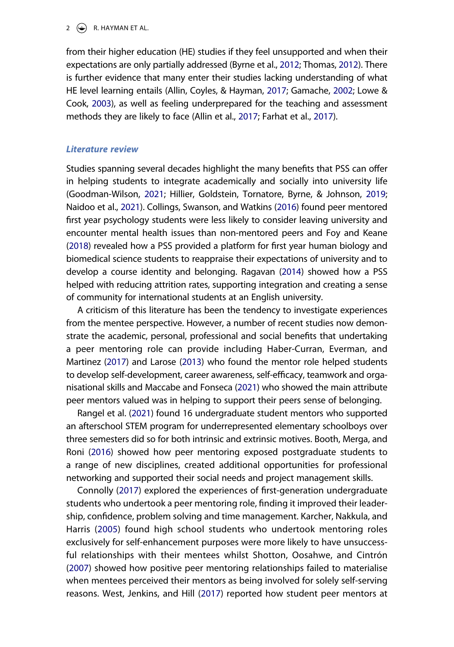#### 2  $\left(\rightarrow\right)$  R. HAYMAN ET AL.

<span id="page-2-10"></span><span id="page-2-6"></span><span id="page-2-2"></span>from their higher education (HE) studies if they feel unsupported and when their expectations are only partially addressed (Byrne et al., [2012](#page-16-3); Thomas, [2012](#page-18-1)). There is further evidence that many enter their studies lacking understanding of what HE level learning entails (Allin, Coyles, & Hayman, [2017](#page-15-0); Gamache, [2002](#page-16-4); Lowe & Cook, [2003\)](#page-17-2), as well as feeling underprepared for the teaching and assessment methods they are likely to face (Allin et al., [2017](#page-15-0); Farhat et al., [2017](#page-16-2)).

#### <span id="page-2-0"></span>*Literature review*

<span id="page-2-7"></span><span id="page-2-3"></span>Studies spanning several decades highlight the many benefits that PSS can offer in helping students to integrate academically and socially into university life (Goodman-Wilson, [2021](#page-16-5); Hillier, Goldstein, Tornatore, Byrne, & Johnson, [2019](#page-16-6); Naidoo et al., [2021](#page-17-0)). Collings, Swanson, and Watkins [\(2016](#page-16-7)) found peer mentored first year psychology students were less likely to consider leaving university and encounter mental health issues than non-mentored peers and Foy and Keane ([2018](#page-16-8)) revealed how a PSS provided a platform for first year human biology and biomedical science students to reappraise their expectations of university and to develop a course identity and belonging. Ragavan [\(2014](#page-17-3)) showed how a PSS helped with reducing attrition rates, supporting integration and creating a sense of community for international students at an English university.

<span id="page-2-12"></span><span id="page-2-8"></span><span id="page-2-5"></span>A criticism of this literature has been the tendency to investigate experiences from the mentee perspective. However, a number of recent studies now demonstrate the academic, personal, professional and social benefits that undertaking a peer mentoring role can provide including Haber-Curran, Everman, and Martinez [\(2017](#page-16-9)) and Larose ([2013\)](#page-17-4) who found the mentor role helped students to develop self-development, career awareness, self-efficacy, teamwork and organisational skills and Maccabe and Fonseca [\(2021](#page-17-5)) who showed the main attribute peer mentors valued was in helping to support their peers sense of belonging.

<span id="page-2-13"></span><span id="page-2-11"></span><span id="page-2-1"></span>Rangel et al. [\(2021](#page-17-6)) found 16 undergraduate student mentors who supported an afterschool STEM program for underrepresented elementary schoolboys over three semesters did so for both intrinsic and extrinsic motives. Booth, Merga, and Roni ([2016](#page-15-1)) showed how peer mentoring exposed postgraduate students to a range of new disciplines, created additional opportunities for professional networking and supported their social needs and project management skills.

<span id="page-2-15"></span><span id="page-2-14"></span><span id="page-2-9"></span><span id="page-2-4"></span>Connolly [\(2017\)](#page-16-10) explored the experiences of first-generation undergraduate students who undertook a peer mentoring role, finding it improved their leadership, confidence, problem solving and time management. Karcher, Nakkula, and Harris ([2005](#page-17-7)) found high school students who undertook mentoring roles exclusively for self-enhancement purposes were more likely to have unsuccessful relationships with their mentees whilst Shotton, Oosahwe, and Cintrón ([2007\)](#page-17-8) showed how positive peer mentoring relationships failed to materialise when mentees perceived their mentors as being involved for solely self-serving reasons. West, Jenkins, and Hill [\(2017\)](#page-18-2) reported how student peer mentors at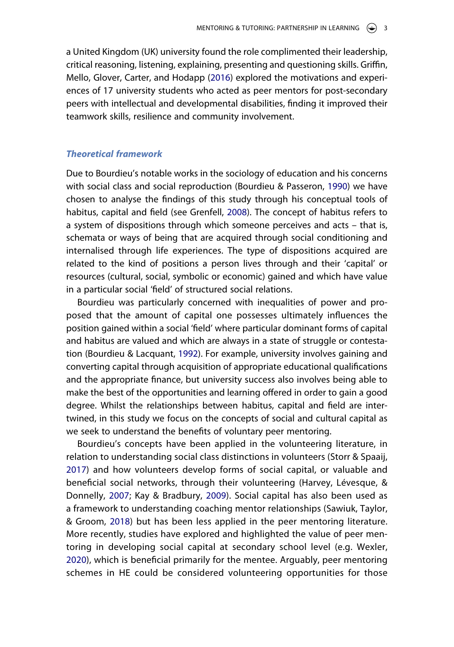<span id="page-3-3"></span>a United Kingdom (UK) university found the role complimented their leadership, critical reasoning, listening, explaining, presenting and questioning skills. Griffin, Mello, Glover, Carter, and Hodapp ([2016](#page-16-11)) explored the motivations and experiences of 17 university students who acted as peer mentors for post-secondary peers with intellectual and developmental disabilities, finding it improved their teamwork skills, resilience and community involvement.

## *Theoretical framework*

<span id="page-3-2"></span><span id="page-3-1"></span>Due to Bourdieu's notable works in the sociology of education and his concerns with social class and social reproduction (Bourdieu & Passeron, [1990\)](#page-16-12) we have chosen to analyse the findings of this study through his conceptual tools of habitus, capital and field (see Grenfell, [2008](#page-16-13)). The concept of habitus refers to a system of dispositions through which someone perceives and acts – that is, schemata or ways of being that are acquired through social conditioning and internalised through life experiences. The type of dispositions acquired are related to the kind of positions a person lives through and their 'capital' or resources (cultural, social, symbolic or economic) gained and which have value in a particular social 'field' of structured social relations.

<span id="page-3-0"></span>Bourdieu was particularly concerned with inequalities of power and proposed that the amount of capital one possesses ultimately influences the position gained within a social 'field' where particular dominant forms of capital and habitus are valued and which are always in a state of struggle or contestation (Bourdieu & Lacquant, [1992](#page-16-14)). For example, university involves gaining and converting capital through acquisition of appropriate educational qualifications and the appropriate finance, but university success also involves being able to make the best of the opportunities and learning offered in order to gain a good degree. Whilst the relationships between habitus, capital and field are intertwined, in this study we focus on the concepts of social and cultural capital as we seek to understand the benefits of voluntary peer mentoring.

<span id="page-3-7"></span><span id="page-3-6"></span><span id="page-3-5"></span><span id="page-3-4"></span>Bourdieu's concepts have been applied in the volunteering literature, in relation to understanding social class distinctions in volunteers (Storr & Spaaij, [2017\)](#page-17-9) and how volunteers develop forms of social capital, or valuable and beneficial social networks, through their volunteering (Harvey, Lévesque, & Donnelly, [2007](#page-16-15); Kay & Bradbury, [2009\)](#page-17-10). Social capital has also been used as a framework to understanding coaching mentor relationships (Sawiuk, Taylor, & Groom, [2018](#page-17-11)) but has been less applied in the peer mentoring literature. More recently, studies have explored and highlighted the value of peer mentoring in developing social capital at secondary school level (e.g. Wexler, [2020\)](#page-18-3), which is beneficial primarily for the mentee. Arguably, peer mentoring schemes in HE could be considered volunteering opportunities for those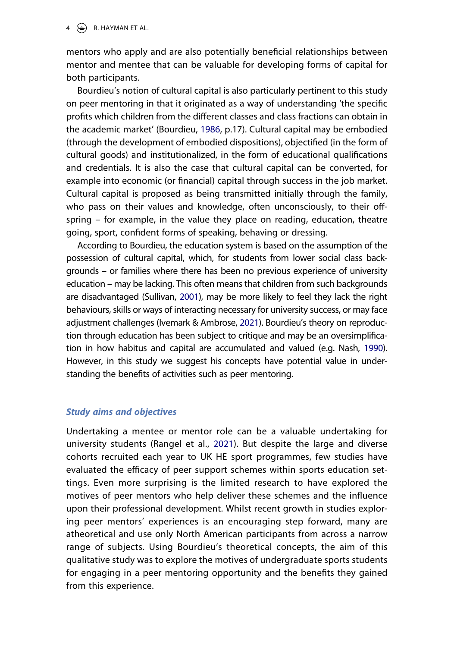$4 \quad \Leftrightarrow$  R. HAYMAN ET AL.

mentors who apply and are also potentially beneficial relationships between mentor and mentee that can be valuable for developing forms of capital for both participants.

<span id="page-4-0"></span>Bourdieu's notion of cultural capital is also particularly pertinent to this study on peer mentoring in that it originated as a way of understanding 'the specific profits which children from the different classes and class fractions can obtain in the academic market' (Bourdieu, [1986](#page-16-16), p.17). Cultural capital may be embodied (through the development of embodied dispositions), objectified (in the form of cultural goods) and institutionalized, in the form of educational qualifications and credentials. It is also the case that cultural capital can be converted, for example into economic (or financial) capital through success in the job market. Cultural capital is proposed as being transmitted initially through the family, who pass on their values and knowledge, often unconsciously, to their offspring – for example, in the value they place on reading, education, theatre going, sport, confident forms of speaking, behaving or dressing.

<span id="page-4-3"></span><span id="page-4-1"></span>According to Bourdieu, the education system is based on the assumption of the possession of cultural capital, which, for students from lower social class backgrounds – or families where there has been no previous experience of university education – may be lacking. This often means that children from such backgrounds are disadvantaged (Sullivan, [2001\)](#page-17-12), may be more likely to feel they lack the right behaviours, skills or ways of interacting necessary for university success, or may face adjustment challenges (Ivemark & Ambrose, [2021](#page-17-13)). Bourdieu's theory on reproduction through education has been subject to critique and may be an oversimplification in how habitus and capital are accumulated and valued (e.g. Nash, [1990](#page-17-14)). However, in this study we suggest his concepts have potential value in understanding the benefits of activities such as peer mentoring.

## <span id="page-4-2"></span>*Study aims and objectives*

Undertaking a mentee or mentor role can be a valuable undertaking for university students (Rangel et al., [2021](#page-17-6)). But despite the large and diverse cohorts recruited each year to UK HE sport programmes, few studies have evaluated the efficacy of peer support schemes within sports education settings. Even more surprising is the limited research to have explored the motives of peer mentors who help deliver these schemes and the influence upon their professional development. Whilst recent growth in studies exploring peer mentors' experiences is an encouraging step forward, many are atheoretical and use only North American participants from across a narrow range of subjects. Using Bourdieu's theoretical concepts, the aim of this qualitative study was to explore the motives of undergraduate sports students for engaging in a peer mentoring opportunity and the benefits they gained from this experience.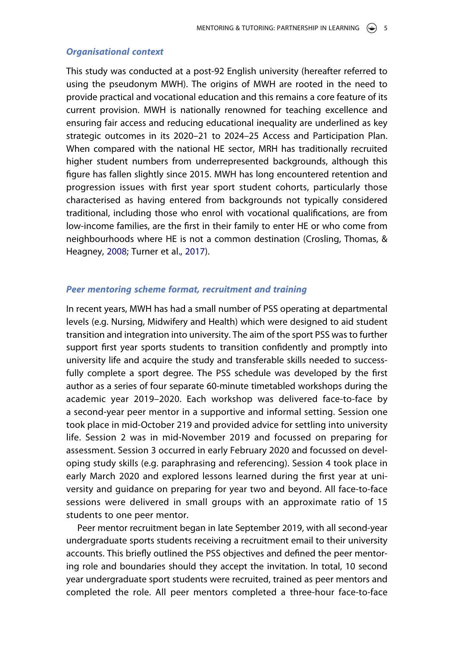#### *Organisational context*

This study was conducted at a post-92 English university (hereafter referred to using the pseudonym MWH). The origins of MWH are rooted in the need to provide practical and vocational education and this remains a core feature of its current provision. MWH is nationally renowned for teaching excellence and ensuring fair access and reducing educational inequality are underlined as key strategic outcomes in its 2020–21 to 2024–25 Access and Participation Plan. When compared with the national HE sector, MRH has traditionally recruited higher student numbers from underrepresented backgrounds, although this figure has fallen slightly since 2015. MWH has long encountered retention and progression issues with first year sport student cohorts, particularly those characterised as having entered from backgrounds not typically considered traditional, including those who enrol with vocational qualifications, are from low-income families, are the first in their family to enter HE or who come from neighbourhoods where HE is not a common destination (Crosling, Thomas, & Heagney, [2008;](#page-16-17) Turner et al., [2017\)](#page-18-0).

## <span id="page-5-0"></span>*Peer mentoring scheme format, recruitment and training*

In recent years, MWH has had a small number of PSS operating at departmental levels (e.g. Nursing, Midwifery and Health) which were designed to aid student transition and integration into university. The aim of the sport PSS was to further support first year sports students to transition confidently and promptly into university life and acquire the study and transferable skills needed to successfully complete a sport degree. The PSS schedule was developed by the first author as a series of four separate 60-minute timetabled workshops during the academic year 2019–2020. Each workshop was delivered face-to-face by a second-year peer mentor in a supportive and informal setting. Session one took place in mid-October 219 and provided advice for settling into university life. Session 2 was in mid-November 2019 and focussed on preparing for assessment. Session 3 occurred in early February 2020 and focussed on developing study skills (e.g. paraphrasing and referencing). Session 4 took place in early March 2020 and explored lessons learned during the first year at university and guidance on preparing for year two and beyond. All face-to-face sessions were delivered in small groups with an approximate ratio of 15 students to one peer mentor.

Peer mentor recruitment began in late September 2019, with all second-year undergraduate sports students receiving a recruitment email to their university accounts. This briefly outlined the PSS objectives and defined the peer mentoring role and boundaries should they accept the invitation. In total, 10 second year undergraduate sport students were recruited, trained as peer mentors and completed the role. All peer mentors completed a three-hour face-to-face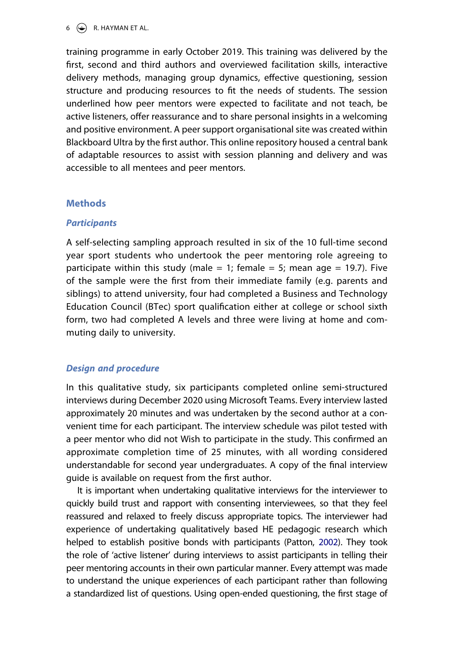$6 \quad \Leftrightarrow \quad R$ . HAYMAN ET AL.

training programme in early October 2019. This training was delivered by the first, second and third authors and overviewed facilitation skills, interactive delivery methods, managing group dynamics, effective questioning, session structure and producing resources to fit the needs of students. The session underlined how peer mentors were expected to facilitate and not teach, be active listeners, offer reassurance and to share personal insights in a welcoming and positive environment. A peer support organisational site was created within Blackboard Ultra by the first author. This online repository housed a central bank of adaptable resources to assist with session planning and delivery and was accessible to all mentees and peer mentors.

## **Methods**

## *Participants*

A self-selecting sampling approach resulted in six of the 10 full-time second year sport students who undertook the peer mentoring role agreeing to participate within this study (male  $= 1$ ; female  $= 5$ ; mean age  $= 19.7$ ). Five of the sample were the first from their immediate family (e.g. parents and siblings) to attend university, four had completed a Business and Technology Education Council (BTec) sport qualification either at college or school sixth form, two had completed A levels and three were living at home and commuting daily to university.

## *Design and procedure*

In this qualitative study, six participants completed online semi-structured interviews during December 2020 using Microsoft Teams. Every interview lasted approximately 20 minutes and was undertaken by the second author at a convenient time for each participant. The interview schedule was pilot tested with a peer mentor who did not Wish to participate in the study. This confirmed an approximate completion time of 25 minutes, with all wording considered understandable for second year undergraduates. A copy of the final interview guide is available on request from the first author.

<span id="page-6-0"></span>It is important when undertaking qualitative interviews for the interviewer to quickly build trust and rapport with consenting interviewees, so that they feel reassured and relaxed to freely discuss appropriate topics. The interviewer had experience of undertaking qualitatively based HE pedagogic research which helped to establish positive bonds with participants (Patton, [2002](#page-17-15)). They took the role of 'active listener' during interviews to assist participants in telling their peer mentoring accounts in their own particular manner. Every attempt was made to understand the unique experiences of each participant rather than following a standardized list of questions. Using open-ended questioning, the first stage of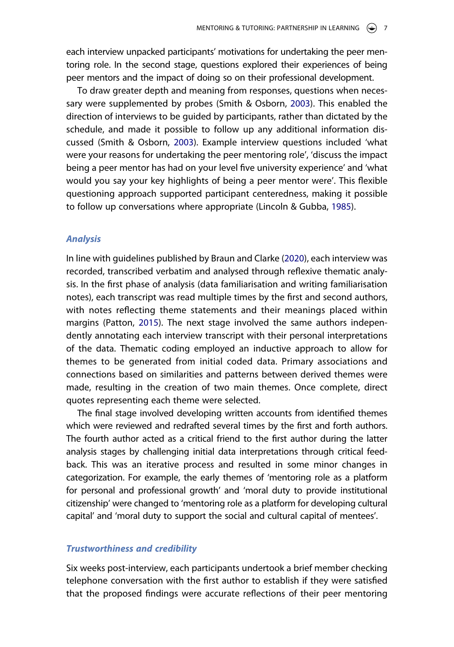each interview unpacked participants' motivations for undertaking the peer mentoring role. In the second stage, questions explored their experiences of being peer mentors and the impact of doing so on their professional development.

<span id="page-7-3"></span>To draw greater depth and meaning from responses, questions when necessary were supplemented by probes (Smith & Osborn, [2003](#page-17-16)). This enabled the direction of interviews to be guided by participants, rather than dictated by the schedule, and made it possible to follow up any additional information discussed (Smith & Osborn, [2003](#page-17-16)). Example interview questions included 'what were your reasons for undertaking the peer mentoring role', 'discuss the impact being a peer mentor has had on your level five university experience' and 'what would you say your key highlights of being a peer mentor were'. This flexible questioning approach supported participant centeredness, making it possible to follow up conversations where appropriate (Lincoln & Gubba, [1985\)](#page-17-17).

#### <span id="page-7-1"></span>*Analysis*

<span id="page-7-2"></span><span id="page-7-0"></span>In line with guidelines published by Braun and Clarke [\(2020\)](#page-16-18), each interview was recorded, transcribed verbatim and analysed through reflexive thematic analysis. In the first phase of analysis (data familiarisation and writing familiarisation notes), each transcript was read multiple times by the first and second authors, with notes reflecting theme statements and their meanings placed within margins (Patton, [2015](#page-17-18)). The next stage involved the same authors independently annotating each interview transcript with their personal interpretations of the data. Thematic coding employed an inductive approach to allow for themes to be generated from initial coded data. Primary associations and connections based on similarities and patterns between derived themes were made, resulting in the creation of two main themes. Once complete, direct quotes representing each theme were selected.

The final stage involved developing written accounts from identified themes which were reviewed and redrafted several times by the first and forth authors. The fourth author acted as a critical friend to the first author during the latter analysis stages by challenging initial data interpretations through critical feedback. This was an iterative process and resulted in some minor changes in categorization. For example, the early themes of 'mentoring role as a platform for personal and professional growth' and 'moral duty to provide institutional citizenship' were changed to 'mentoring role as a platform for developing cultural capital' and 'moral duty to support the social and cultural capital of mentees'.

## *Trustworthiness and credibility*

Six weeks post-interview, each participants undertook a brief member checking telephone conversation with the first author to establish if they were satisfied that the proposed findings were accurate reflections of their peer mentoring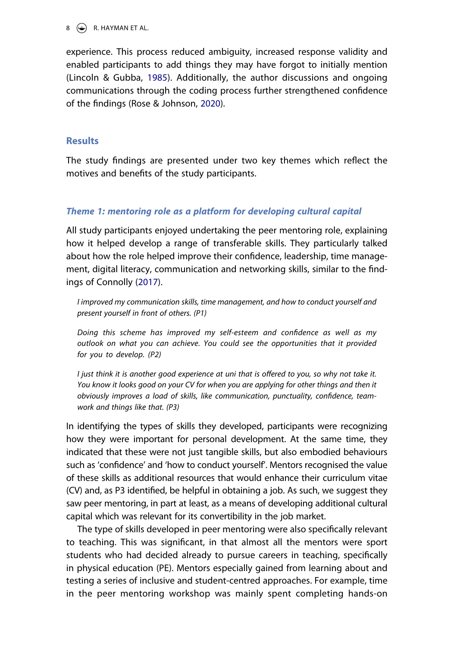$8 \quad \Leftrightarrow \quad R$ . HAYMAN ET AL.

experience. This process reduced ambiguity, increased response validity and enabled participants to add things they may have forgot to initially mention (Lincoln & Gubba, [1985\)](#page-17-17). Additionally, the author discussions and ongoing communications through the coding process further strengthened confidence of the findings (Rose & Johnson, [2020\)](#page-17-19).

## <span id="page-8-0"></span>**Results**

The study findings are presented under two key themes which reflect the motives and benefits of the study participants.

## *Theme 1: mentoring role as a platform for developing cultural capital*

All study participants enjoyed undertaking the peer mentoring role, explaining how it helped develop a range of transferable skills. They particularly talked about how the role helped improve their confidence, leadership, time management, digital literacy, communication and networking skills, similar to the findings of Connolly [\(2017\)](#page-16-10).

*I improved my communication skills, time management, and how to conduct yourself and present yourself in front of others. (P1)*

*Doing this scheme has improved my self-esteem and confidence as well as my outlook on what you can achieve. You could see the opportunities that it provided for you to develop. (P2)*

*I* just think it is another good experience at uni that is offered to you, so why not take it. *You know it looks good on your CV for when you are applying for other things and then it obviously improves a load of skills, like communication, punctuality, confidence, teamwork and things like that. (P3)*

In identifying the types of skills they developed, participants were recognizing how they were important for personal development. At the same time, they indicated that these were not just tangible skills, but also embodied behaviours such as 'confidence' and 'how to conduct yourself'. Mentors recognised the value of these skills as additional resources that would enhance their curriculum vitae (CV) and, as P3 identified, be helpful in obtaining a job. As such, we suggest they saw peer mentoring, in part at least, as a means of developing additional cultural capital which was relevant for its convertibility in the job market.

The type of skills developed in peer mentoring were also specifically relevant to teaching. This was significant, in that almost all the mentors were sport students who had decided already to pursue careers in teaching, specifically in physical education (PE). Mentors especially gained from learning about and testing a series of inclusive and student-centred approaches. For example, time in the peer mentoring workshop was mainly spent completing hands-on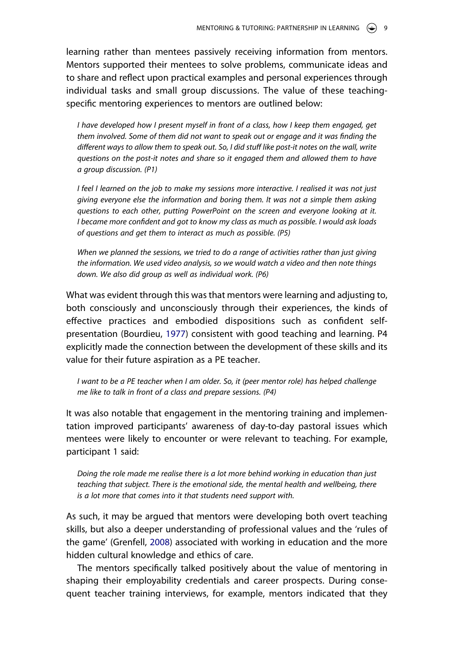learning rather than mentees passively receiving information from mentors. Mentors supported their mentees to solve problems, communicate ideas and to share and reflect upon practical examples and personal experiences through individual tasks and small group discussions. The value of these teachingspecific mentoring experiences to mentors are outlined below:

*I have developed how I present myself in front of a class, how I keep them engaged, get them involved. Some of them did not want to speak out or engage and it was finding the different ways to allow them to speak out. So, I did stuff like post-it notes on the wall, write questions on the post-it notes and share so it engaged them and allowed them to have a group discussion. (P1)*

*I* feel *I* learned on the job to make my sessions more interactive. I realised it was not just *giving everyone else the information and boring them. It was not a simple them asking questions to each other, putting PowerPoint on the screen and everyone looking at it. I became more confident and got to know my class as much as possible. I would ask loads of questions and get them to interact as much as possible. (P5)*

*When we planned the sessions, we tried to do a range of activities rather than just giving the information. We used video analysis, so we would watch a video and then note things down. We also did group as well as individual work. (P6)*

<span id="page-9-0"></span>What was evident through this was that mentors were learning and adjusting to, both consciously and unconsciously through their experiences, the kinds of effective practices and embodied dispositions such as confident selfpresentation (Bourdieu, [1977\)](#page-16-19) consistent with good teaching and learning. P4 explicitly made the connection between the development of these skills and its value for their future aspiration as a PE teacher.

*I* want to be a PE teacher when *I* am older. So, it (peer mentor role) has helped challenge *me like to talk in front of a class and prepare sessions. (P4)*

It was also notable that engagement in the mentoring training and implementation improved participants' awareness of day-to-day pastoral issues which mentees were likely to encounter or were relevant to teaching. For example, participant 1 said:

*Doing the role made me realise there is a lot more behind working in education than just teaching that subject. There is the emotional side, the mental health and wellbeing, there is a lot more that comes into it that students need support with.*

As such, it may be argued that mentors were developing both overt teaching skills, but also a deeper understanding of professional values and the 'rules of the game' (Grenfell, [2008](#page-16-13)) associated with working in education and the more hidden cultural knowledge and ethics of care.

The mentors specifically talked positively about the value of mentoring in shaping their employability credentials and career prospects. During consequent teacher training interviews, for example, mentors indicated that they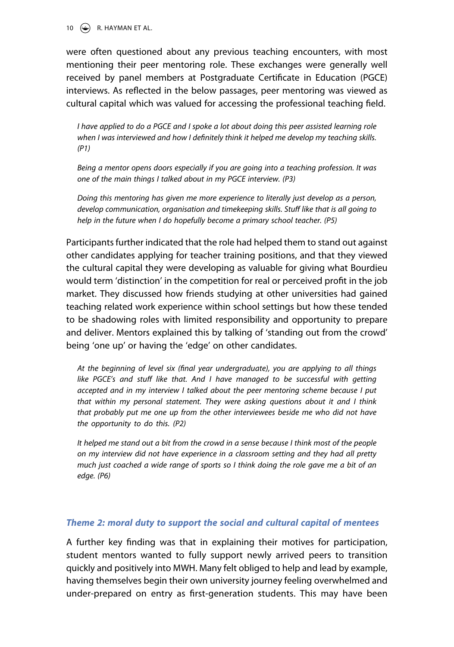10  $\left(\frac{1}{2}\right)$  R. HAYMAN ET AL.

were often questioned about any previous teaching encounters, with most mentioning their peer mentoring role. These exchanges were generally well received by panel members at Postgraduate Certificate in Education (PGCE) interviews. As reflected in the below passages, peer mentoring was viewed as cultural capital which was valued for accessing the professional teaching field.

*I have applied to do a PGCE and I spoke a lot about doing this peer assisted learning role when I was interviewed and how I definitely think it helped me develop my teaching skills. (P1)*

*Being a mentor opens doors especially if you are going into a teaching profession. It was one of the main things I talked about in my PGCE interview. (P3)*

*Doing this mentoring has given me more experience to literally just develop as a person, develop communication, organisation and timekeeping skills. Stuff like that is all going to help in the future when I do hopefully become a primary school teacher. (P5)*

Participants further indicated that the role had helped them to stand out against other candidates applying for teacher training positions, and that they viewed the cultural capital they were developing as valuable for giving what Bourdieu would term 'distinction' in the competition for real or perceived profit in the job market. They discussed how friends studying at other universities had gained teaching related work experience within school settings but how these tended to be shadowing roles with limited responsibility and opportunity to prepare and deliver. Mentors explained this by talking of 'standing out from the crowd' being 'one up' or having the 'edge' on other candidates.

*At the beginning of level six (final year undergraduate), you are applying to all things*  like PGCE's and stuff like that. And I have managed to be successful with getting *accepted and in my interview I talked about the peer mentoring scheme because I put that within my personal statement. They were asking questions about it and I think that probably put me one up from the other interviewees beside me who did not have the opportunity to do this. (P2)*

*It helped me stand out a bit from the crowd in a sense because I think most of the people on my interview did not have experience in a classroom setting and they had all pretty much just coached a wide range of sports so I think doing the role gave me a bit of an edge. (P6)*

## *Theme 2: moral duty to support the social and cultural capital of mentees*

A further key finding was that in explaining their motives for participation, student mentors wanted to fully support newly arrived peers to transition quickly and positively into MWH. Many felt obliged to help and lead by example, having themselves begin their own university journey feeling overwhelmed and under-prepared on entry as first-generation students. This may have been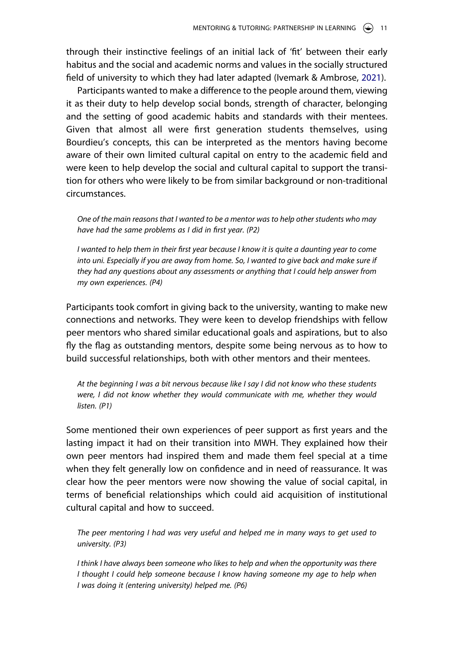through their instinctive feelings of an initial lack of 'fit' between their early habitus and the social and academic norms and values in the socially structured field of university to which they had later adapted (Ivemark & Ambrose, [2021](#page-17-13)).

Participants wanted to make a difference to the people around them, viewing it as their duty to help develop social bonds, strength of character, belonging and the setting of good academic habits and standards with their mentees. Given that almost all were first generation students themselves, using Bourdieu's concepts, this can be interpreted as the mentors having become aware of their own limited cultural capital on entry to the academic field and were keen to help develop the social and cultural capital to support the transition for others who were likely to be from similar background or non-traditional circumstances.

*One of the main reasons that I wanted to be a mentor was to help other students who may have had the same problems as I did in first year. (P2)*

*I* wanted to help them in their first year because I know it is quite a daunting year to come into uni. Especially if you are away from home. So, I wanted to give back and make sure if *they had any questions about any assessments or anything that I could help answer from my own experiences. (P4)*

Participants took comfort in giving back to the university, wanting to make new connections and networks. They were keen to develop friendships with fellow peer mentors who shared similar educational goals and aspirations, but to also fly the flag as outstanding mentors, despite some being nervous as to how to build successful relationships, both with other mentors and their mentees.

*At the beginning I was a bit nervous because like I say I did not know who these students were, I did not know whether they would communicate with me, whether they would listen. (P1)*

Some mentioned their own experiences of peer support as first years and the lasting impact it had on their transition into MWH. They explained how their own peer mentors had inspired them and made them feel special at a time when they felt generally low on confidence and in need of reassurance. It was clear how the peer mentors were now showing the value of social capital, in terms of beneficial relationships which could aid acquisition of institutional cultural capital and how to succeed.

*The peer mentoring I had was very useful and helped me in many ways to get used to university. (P3)*

*I think I have always been someone who likes to help and when the opportunity was there I thought I could help someone because I know having someone my age to help when I was doing it (entering university) helped me. (P6)*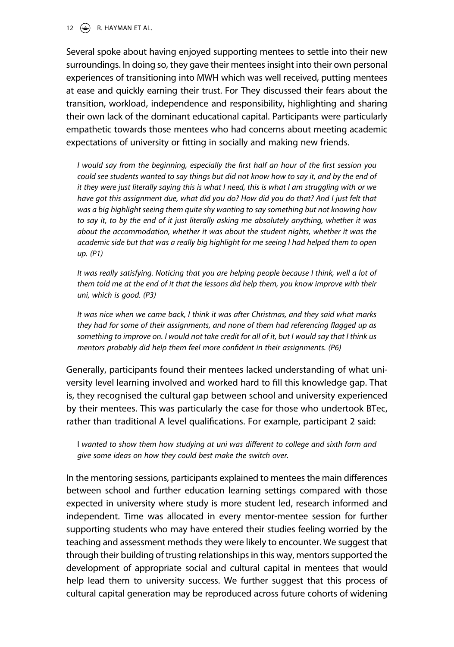## 12  $\left(\rightarrow\right)$  R. HAYMAN ET AL.

Several spoke about having enjoyed supporting mentees to settle into their new surroundings. In doing so, they gave their mentees insight into their own personal experiences of transitioning into MWH which was well received, putting mentees at ease and quickly earning their trust. For They discussed their fears about the transition, workload, independence and responsibility, highlighting and sharing their own lack of the dominant educational capital. Participants were particularly empathetic towards those mentees who had concerns about meeting academic expectations of university or fitting in socially and making new friends.

*I would say from the beginning, especially the first half an hour of the first session you could see students wanted to say things but did not know how to say it, and by the end of it they were just literally saying this is what I need, this is what I am struggling with or we have got this assignment due, what did you do? How did you do that? And I just felt that was a big highlight seeing them quite shy wanting to say something but not knowing how to say it, to by the end of it just literally asking me absolutely anything, whether it was about the accommodation, whether it was about the student nights, whether it was the academic side but that was a really big highlight for me seeing I had helped them to open up. (P1)*

It was really satisfying. Noticing that you are helping people because I think, well a lot of *them told me at the end of it that the lessons did help them, you know improve with their uni, which is good. (P3)*

*It was nice when we came back, I think it was after Christmas, and they said what marks they had for some of their assignments, and none of them had referencing flagged up as something to improve on. I would not take credit for all of it, but I would say that I think us mentors probably did help them feel more confident in their assignments. (P6)*

Generally, participants found their mentees lacked understanding of what university level learning involved and worked hard to fill this knowledge gap. That is, they recognised the cultural gap between school and university experienced by their mentees. This was particularly the case for those who undertook BTec, rather than traditional A level qualifications. For example, participant 2 said:

I *wanted to show them how studying at uni was different to college and sixth form and give some ideas on how they could best make the switch over.*

In the mentoring sessions, participants explained to mentees the main differences between school and further education learning settings compared with those expected in university where study is more student led, research informed and independent. Time was allocated in every mentor-mentee session for further supporting students who may have entered their studies feeling worried by the teaching and assessment methods they were likely to encounter. We suggest that through their building of trusting relationships in this way, mentors supported the development of appropriate social and cultural capital in mentees that would help lead them to university success. We further suggest that this process of cultural capital generation may be reproduced across future cohorts of widening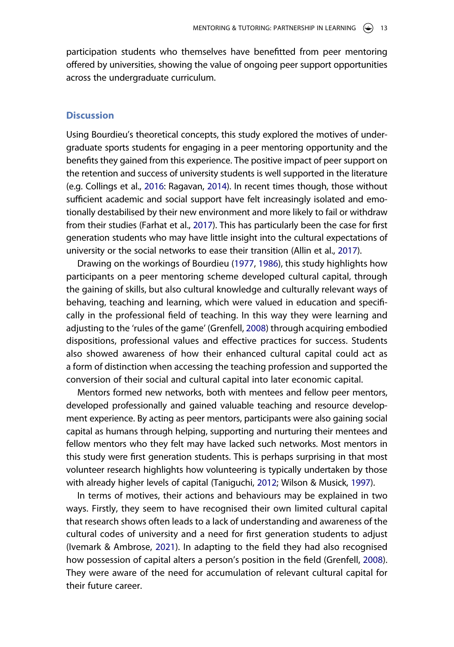participation students who themselves have benefitted from peer mentoring offered by universities, showing the value of ongoing peer support opportunities across the undergraduate curriculum.

## **Discussion**

Using Bourdieu's theoretical concepts, this study explored the motives of undergraduate sports students for engaging in a peer mentoring opportunity and the benefits they gained from this experience. The positive impact of peer support on the retention and success of university students is well supported in the literature (e.g. Collings et al., [2016:](#page-16-7) Ragavan, [2014](#page-17-3)). In recent times though, those without sufficient academic and social support have felt increasingly isolated and emotionally destabilised by their new environment and more likely to fail or withdraw from their studies (Farhat et al., [2017](#page-16-2)). This has particularly been the case for first generation students who may have little insight into the cultural expectations of university or the social networks to ease their transition (Allin et al., [2017](#page-15-0)).

Drawing on the workings of Bourdieu ([1977](#page-16-19), [1986](#page-16-16)), this study highlights how participants on a peer mentoring scheme developed cultural capital, through the gaining of skills, but also cultural knowledge and culturally relevant ways of behaving, teaching and learning, which were valued in education and specifically in the professional field of teaching. In this way they were learning and adjusting to the 'rules of the game' (Grenfell, [2008](#page-16-13)) through acquiring embodied dispositions, professional values and effective practices for success. Students also showed awareness of how their enhanced cultural capital could act as a form of distinction when accessing the teaching profession and supported the conversion of their social and cultural capital into later economic capital.

Mentors formed new networks, both with mentees and fellow peer mentors, developed professionally and gained valuable teaching and resource development experience. By acting as peer mentors, participants were also gaining social capital as humans through helping, supporting and nurturing their mentees and fellow mentors who they felt may have lacked such networks. Most mentors in this study were first generation students. This is perhaps surprising in that most volunteer research highlights how volunteering is typically undertaken by those with already higher levels of capital (Taniguchi, [2012;](#page-18-4) Wilson & Musick, [1997\)](#page-18-5).

<span id="page-13-0"></span>In terms of motives, their actions and behaviours may be explained in two ways. Firstly, they seem to have recognised their own limited cultural capital that research shows often leads to a lack of understanding and awareness of the cultural codes of university and a need for first generation students to adjust (Ivemark & Ambrose, [2021\)](#page-17-13). In adapting to the field they had also recognised how possession of capital alters a person's position in the field (Grenfell, [2008](#page-16-13)). They were aware of the need for accumulation of relevant cultural capital for their future career.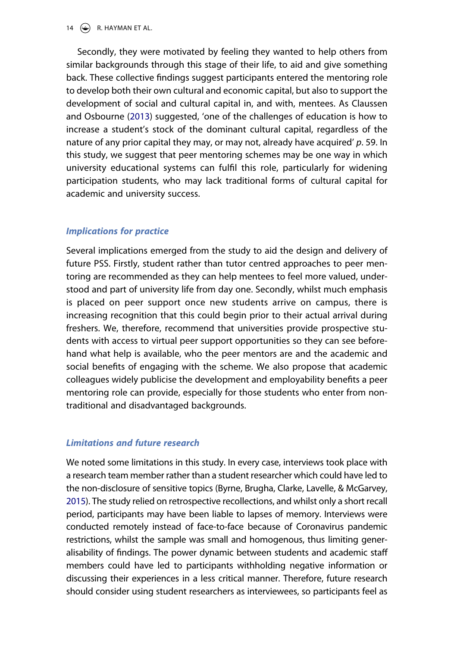## 14  $\left(\rightarrow\right)$  R. HAYMAN ET AL.

<span id="page-14-1"></span>Secondly, they were motivated by feeling they wanted to help others from similar backgrounds through this stage of their life, to aid and give something back. These collective findings suggest participants entered the mentoring role to develop both their own cultural and economic capital, but also to support the development of social and cultural capital in, and with, mentees. As Claussen and Osbourne [\(2013\)](#page-16-20) suggested, 'one of the challenges of education is how to increase a student's stock of the dominant cultural capital, regardless of the nature of any prior capital they may, or may not, already have acquired' *p*. 59. In this study, we suggest that peer mentoring schemes may be one way in which university educational systems can fulfil this role, particularly for widening participation students, who may lack traditional forms of cultural capital for academic and university success.

## *Implications for practice*

Several implications emerged from the study to aid the design and delivery of future PSS. Firstly, student rather than tutor centred approaches to peer mentoring are recommended as they can help mentees to feel more valued, understood and part of university life from day one. Secondly, whilst much emphasis is placed on peer support once new students arrive on campus, there is increasing recognition that this could begin prior to their actual arrival during freshers. We, therefore, recommend that universities provide prospective students with access to virtual peer support opportunities so they can see beforehand what help is available, who the peer mentors are and the academic and social benefits of engaging with the scheme. We also propose that academic colleagues widely publicise the development and employability benefits a peer mentoring role can provide, especially for those students who enter from nontraditional and disadvantaged backgrounds.

## *Limitations and future research*

<span id="page-14-0"></span>We noted some limitations in this study. In every case, interviews took place with a research team member rather than a student researcher which could have led to the non-disclosure of sensitive topics (Byrne, Brugha, Clarke, Lavelle, & McGarvey, [2015](#page-16-21)). The study relied on retrospective recollections, and whilst only a short recall period, participants may have been liable to lapses of memory. Interviews were conducted remotely instead of face-to-face because of Coronavirus pandemic restrictions, whilst the sample was small and homogenous, thus limiting generalisability of findings. The power dynamic between students and academic staff members could have led to participants withholding negative information or discussing their experiences in a less critical manner. Therefore, future research should consider using student researchers as interviewees, so participants feel as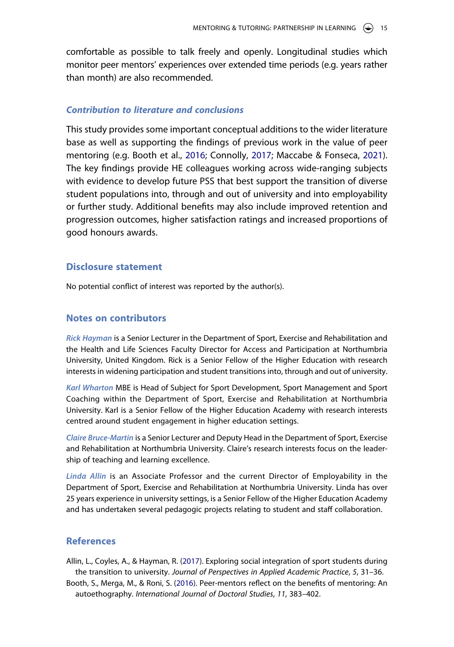comfortable as possible to talk freely and openly. Longitudinal studies which monitor peer mentors' experiences over extended time periods (e.g. years rather than month) are also recommended.

## *Contribution to literature and conclusions*

This study provides some important conceptual additions to the wider literature base as well as supporting the findings of previous work in the value of peer mentoring (e.g. Booth et al., [2016](#page-15-1); Connolly, [2017;](#page-16-10) Maccabe & Fonseca, [2021](#page-17-5)). The key findings provide HE colleagues working across wide-ranging subjects with evidence to develop future PSS that best support the transition of diverse student populations into, through and out of university and into employability or further study. Additional benefits may also include improved retention and progression outcomes, higher satisfaction ratings and increased proportions of good honours awards.

## **Disclosure statement**

No potential conflict of interest was reported by the author(s).

## **Notes on contributors**

*Rick Hayman* is a Senior Lecturer in the Department of Sport, Exercise and Rehabilitation and the Health and Life Sciences Faculty Director for Access and Participation at Northumbria University, United Kingdom. Rick is a Senior Fellow of the Higher Education with research interests in widening participation and student transitions into, through and out of university.

*Karl Wharton* MBE is Head of Subject for Sport Development, Sport Management and Sport Coaching within the Department of Sport, Exercise and Rehabilitation at Northumbria University. Karl is a Senior Fellow of the Higher Education Academy with research interests centred around student engagement in higher education settings.

*Claire Bruce-Martin* is a Senior Lecturer and Deputy Head in the Department of Sport, Exercise and Rehabilitation at Northumbria University. Claire's research interests focus on the leadership of teaching and learning excellence.

Linda Allin is an Associate Professor and the current Director of Employability in the Department of Sport, Exercise and Rehabilitation at Northumbria University. Linda has over 25 years experience in university settings, is a Senior Fellow of the Higher Education Academy and has undertaken several pedagogic projects relating to student and staff collaboration.

## **References**

<span id="page-15-0"></span>Allin, L., Coyles, A., & Hayman, R. [\(2017\)](#page-2-0). Exploring social integration of sport students during the transition to university. *Journal of Perspectives in Applied Academic Practice*, *5*, 31–36.

<span id="page-15-1"></span>Booth, S., Merga, M., & Roni, S. ([2016](#page-2-1)). Peer-mentors reflect on the benefits of mentoring: An autoethography. *International Journal of Doctoral Studies*, *11*, 383–402.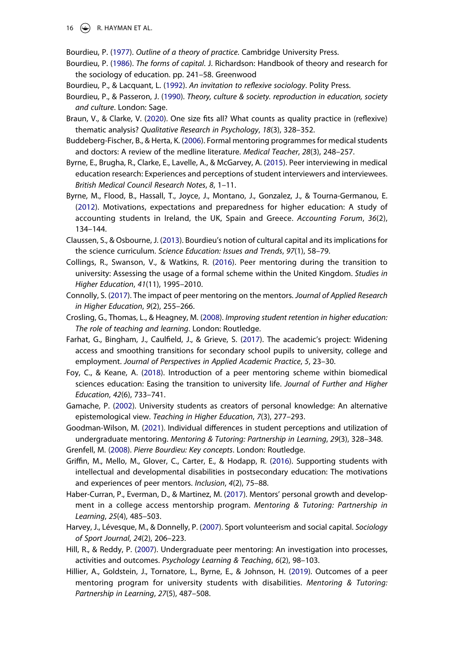$\circledast$  R. HAYMAN ET AL.

<span id="page-16-19"></span>Bourdieu, P. [\(1977\)](#page-9-0). *Outline of a theory of practice*. Cambridge University Press.

- <span id="page-16-16"></span>Bourdieu, P. ([1986\)](#page-4-0). *The forms of capital*. J. Richardson: Handbook of theory and research for the sociology of education. pp. 241–58. Greenwood
- <span id="page-16-14"></span>Bourdieu, P., & Lacquant, L. [\(1992\)](#page-3-0). *An invitation to reflexive sociology*. Polity Press.
- <span id="page-16-12"></span>Bourdieu, P., & Passeron, J. ([1990](#page-3-1)). *Theory, culture & society. reproduction in education, society and culture*. London: Sage.
- <span id="page-16-18"></span>Braun, V., & Clarke, V. ([2020](#page-7-0)). One size fits all? What counts as quality practice in (reflexive) thematic analysis? *Qualitative Research in Psychology*, *18*(3), 328–352.
- <span id="page-16-0"></span>Buddeberg-Fischer, B., & Herta, K. [\(2006\)](#page-1-0). Formal mentoring programmes for medical students and doctors: A review of the medline literature. *Medical Teacher*, *28*(3), 248–257.
- <span id="page-16-21"></span>Byrne, E., Brugha, R., Clarke, E., Lavelle, A., & McGarvey, A. [\(2015\)](#page-14-0). Peer interviewing in medical education research: Experiences and perceptions of student interviewers and interviewees. *British Medical Council Research Notes*, *8*, 1–11.
- <span id="page-16-3"></span>Byrne, M., Flood, B., Hassall, T., Joyce, J., Montano, J., Gonzalez, J., & Tourna-Germanou, E. ([2012](#page-2-2)). Motivations, expectations and preparedness for higher education: A study of accounting students in Ireland, the UK, Spain and Greece. *Accounting Forum*, *36*(2), 134–144.
- <span id="page-16-20"></span>Claussen, S., & Osbourne, J. ([2013](#page-14-1)). Bourdieu's notion of cultural capital and its implications for the science curriculum. *Science Education: Issues and Trends*, *97*(1), 58–79.
- <span id="page-16-7"></span>Collings, R., Swanson, V., & Watkins, R. ([2016](#page-2-3)). Peer mentoring during the transition to university: Assessing the usage of a formal scheme within the United Kingdom. *Studies in Higher Education*, *41*(11), 1995–2010.
- <span id="page-16-10"></span>Connolly, S. [\(2017\)](#page-2-4). The impact of peer mentoring on the mentors. *Journal of Applied Research in Higher Education*, *9*(2), 255–266.
- <span id="page-16-17"></span>Crosling, G., Thomas, L., & Heagney, M. [\(2008\)](#page-5-0). *Improving student retention in higher education: The role of teaching and learning*. London: Routledge.
- <span id="page-16-2"></span>Farhat, G., Bingham, J., Caulfield, J., & Grieve, S. ([2017](#page-1-1)). The academic's project: Widening access and smoothing transitions for secondary school pupils to university, college and employment. *Journal of Perspectives in Applied Academic Practice*, *5*, 23–30.
- <span id="page-16-8"></span>Foy, C., & Keane, A. [\(2018\)](#page-2-5). Introduction of a peer mentoring scheme within biomedical sciences education: Easing the transition to university life. *Journal of Further and Higher Education*, *42*(6), 733–741.
- <span id="page-16-4"></span>Gamache, P. [\(2002\)](#page-2-6). University students as creators of personal knowledge: An alternative epistemological view. *Teaching in Higher Education*, *7*(3), 277–293.

<span id="page-16-5"></span>Goodman-Wilson, M. ([2021](#page-2-7)). Individual differences in student perceptions and utilization of undergraduate mentoring. *Mentoring & Tutoring: Partnership in Learning*, *29*(3), 328–348.

<span id="page-16-13"></span>Grenfell, M. [\(2008\)](#page-3-2). *Pierre Bourdieu: Key concepts*. London: Routledge.

- <span id="page-16-11"></span>Griffin, M., Mello, M., Glover, C., Carter, E., & Hodapp, R. ([2016](#page-3-3)). Supporting students with intellectual and developmental disabilities in postsecondary education: The motivations and experiences of peer mentors. *Inclusion*, *4*(2), 75–88.
- <span id="page-16-9"></span>Haber-Curran, P., Everman, D., & Martinez, M. ([2017](#page-2-8)). Mentors' personal growth and development in a college access mentorship program. *Mentoring & Tutoring: Partnership in Learning*, *25*(4), 485–503.
- <span id="page-16-15"></span>Harvey, J., Lévesque, M., & Donnelly, P. ([2007](#page-3-4)). Sport volunteerism and social capital. *Sociology of Sport Journal*, *24*(2), 206–223.
- <span id="page-16-1"></span>Hill, R., & Reddy, P. ([2007](#page-1-2)). Undergraduate peer mentoring: An investigation into processes, activities and outcomes. *Psychology Learning & Teaching*, *6*(2), 98–103.
- <span id="page-16-6"></span>Hillier, A., Goldstein, J., Tornatore, L., Byrne, E., & Johnson, H. ([2019\)](#page-2-7). Outcomes of a peer mentoring program for university students with disabilities. *Mentoring & Tutoring: Partnership in Learning*, *27*(5), 487–508.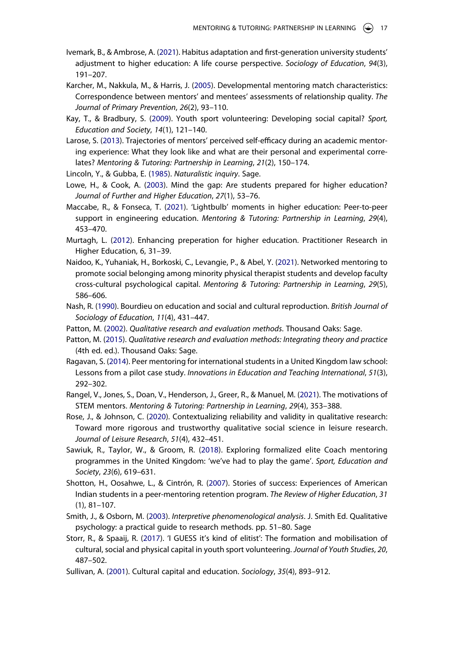- <span id="page-17-13"></span>Ivemark, B., & Ambrose, A. [\(2021\)](#page-4-1). Habitus adaptation and first-generation university students' adjustment to higher education: A life course perspective. *Sociology of Education*, *94*(3), 191–207.
- <span id="page-17-7"></span>Karcher, M., Nakkula, M., & Harris, J. [\(2005](#page-2-9)). Developmental mentoring match characteristics: Correspondence between mentors' and mentees' assessments of relationship quality. *The Journal of Primary Prevention*, *26*(2), 93–110.
- <span id="page-17-10"></span>Kay, T., & Bradbury, S. ([2009](#page-3-4)). Youth sport volunteering: Developing social capital? *Sport, Education and Society*, *14*(1), 121–140.
- <span id="page-17-4"></span>Larose, S. ([2013](#page-2-8)). Trajectories of mentors' perceived self-efficacy during an academic mentoring experience: What they look like and what are their personal and experimental correlates? *Mentoring & Tutoring: Partnership in Learning*, *21*(2), 150–174.
- <span id="page-17-17"></span>Lincoln, Y., & Gubba, E. [\(1985](#page-7-1)). *Naturalistic inquiry*. Sage.
- <span id="page-17-2"></span>Lowe, H., & Cook, A. [\(2003\)](#page-2-10). Mind the gap: Are students prepared for higher education? *Journal of Further and Higher Education*, *27*(1), 53–76.
- <span id="page-17-5"></span>Maccabe, R., & Fonseca, T. [\(2021\)](#page-2-11). 'Lightbulb' moments in higher education: Peer-to-peer support in engineering education. *Mentoring & Tutoring: Partnership in Learning*, *29*(4), 453–470.
- <span id="page-17-1"></span>Murtagh, L. ([2012](#page-1-3)). Enhancing preperation for higher education. Practitioner Research in Higher Education, 6, 31–39.
- <span id="page-17-0"></span>Naidoo, K., Yuhaniak, H., Borkoski, C., Levangie, P., & Abel, Y. ([2021](#page-1-2)). Networked mentoring to promote social belonging among minority physical therapist students and develop faculty cross-cultural psychological capital. *Mentoring & Tutoring: Partnership in Learning*, *29*(5), 586–606.
- <span id="page-17-14"></span>Nash, R. [\(1990\)](#page-4-2). Bourdieu on education and social and cultural reproduction. *British Journal of Sociology of Education*, *11*(4), 431–447.
- <span id="page-17-15"></span>Patton, M. ([2002](#page-6-0)). *Qualitative research and evaluation methods*. Thousand Oaks: Sage.
- <span id="page-17-18"></span>Patton, M. ([2015](#page-7-2)). *Qualitative research and evaluation methods: Integrating theory and practice*  (4th ed. ed.). Thousand Oaks: Sage.
- <span id="page-17-3"></span>Ragavan, S. ([2014](#page-2-12)). Peer mentoring for international students in a United Kingdom law school: Lessons from a pilot case study. *Innovations in Education and Teaching International*, *51*(3), 292–302.
- <span id="page-17-6"></span>Rangel, V., Jones, S., Doan, V., Henderson, J., Greer, R., & Manuel, M. ([2021](#page-2-13)). The motivations of STEM mentors. *Mentoring & Tutoring: Partnership in Learning*, *29*(4), 353–388.
- <span id="page-17-19"></span>Rose, J., & Johnson, C. ([2020](#page-8-0)). Contextualizing reliability and validity in qualitative research: Toward more rigorous and trustworthy qualitative social science in leisure research. *Journal of Leisure Research*, *51*(4), 432–451.
- <span id="page-17-11"></span>Sawiuk, R., Taylor, W., & Groom, R. ([2018\)](#page-3-5). Exploring formalized elite Coach mentoring programmes in the United Kingdom: 'we've had to play the game'. *Sport, Education and Society*, *23*(6), 619–631.
- <span id="page-17-8"></span>Shotton, H., Oosahwe, L., & Cintrón, R. ([2007](#page-2-14)). Stories of success: Experiences of American Indian students in a peer-mentoring retention program. *The Review of Higher Education*, *31*  (1), 81–107.
- <span id="page-17-16"></span>Smith, J., & Osborn, M. ([2003](#page-7-3)). *Interpretive phenomenological analysis*. J. Smith Ed. Qualitative psychology: a practical guide to research methods. pp. 51–80. Sage
- <span id="page-17-9"></span>Storr, R., & Spaaij, R. ([2017](#page-3-6)). 'I GUESS it's kind of elitist': The formation and mobilisation of cultural, social and physical capital in youth sport volunteering. *Journal of Youth Studies*, *20*, 487–502.
- <span id="page-17-12"></span>Sullivan, A. [\(2001\)](#page-4-3). Cultural capital and education. *Sociology*, *35*(4), 893–912.